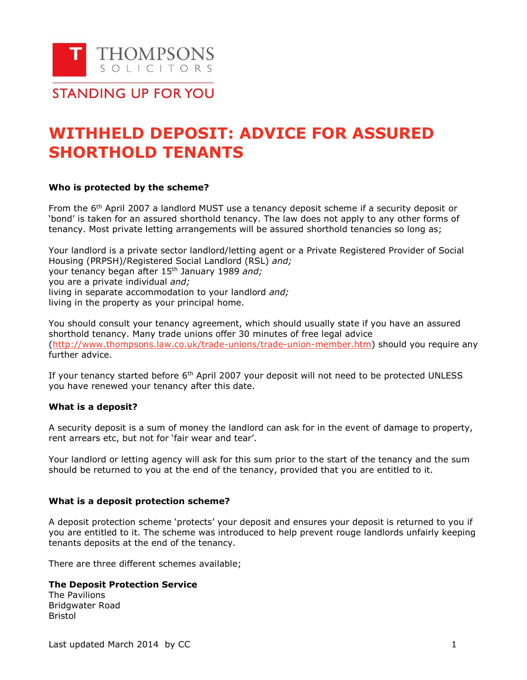

# **STANDING UP FOR YOU**

# **WITHHELD DEPOSIT: ADVICE FOR ASSURED SHORTHOLD TENANTS**

# **Who is protected by the scheme?**

From the  $6<sup>th</sup>$  April 2007 a landlord MUST use a tenancy deposit scheme if a security deposit or 'bond' is taken for an assured shorthold tenancy. The law does not apply to any other forms of tenancy. Most private letting arrangements will be assured shorthold tenancies so long as;

Your landlord is a private sector landlord/letting agent or a Private Registered Provider of Social Housing (PRPSH)/Registered Social Landlord (RSL) *and;* your tenancy began after 15<sup>th</sup> January 1989 and; you are a private individual *and;* living in separate accommodation to your landlord *and;* living in the property as your principal home.

You should consult your tenancy agreement, which should usually state if you have an assured shorthold tenancy. Many trade unions offer 30 minutes of free legal advice (http://www.thompsons.law.co.uk/trade-unions/trade-union-member.htm) should you require any further advice.

If your tenancy started before  $6<sup>th</sup>$  April 2007 your deposit will not need to be protected UNLESS you have renewed your tenancy after this date.

# **What is a deposit?**

A security deposit is a sum of money the landlord can ask for in the event of damage to property, rent arrears etc, but not for 'fair wear and tear'.

Your landlord or letting agency will ask for this sum prior to the start of the tenancy and the sum should be returned to you at the end of the tenancy, provided that you are entitled to it.

# **What is a deposit protection scheme?**

A deposit protection scheme 'protects' your deposit and ensures your deposit is returned to you if you are entitled to it. The scheme was introduced to help prevent rouge landlords unfairly keeping tenants deposits at the end of the tenancy.

There are three different schemes available;

# **The Deposit Protection Service**

The Pavilions Bridgwater Road Bristol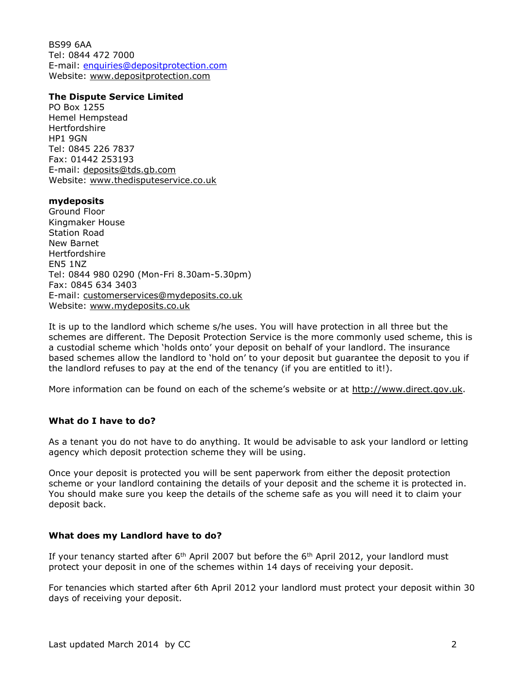BS99 6AA Tel: 0844 472 7000 E-mail: [enquiries@depositprotection.com](mailto:enquiries@depositprotection.com) Website: [www.depositprotection.com](http://www.depositprotection.com/)

# **The Dispute Service Limited**

PO Box 1255 Hemel Hempstead Hertfordshire HP1 9GN Tel: 0845 226 7837 Fax: 01442 253193 E-mail: [deposits@tds.gb.com](mailto:deposits@tds.gb.com) Website: [www.thedisputeservice.co.uk](http://www.thedisputeservice.co.uk/)

#### **mydeposits**

Ground Floor Kingmaker House Station Road New Barnet Hertfordshire EN5 1NZ Tel: 0844 980 0290 (Mon-Fri 8.30am-5.30pm) Fax: 0845 634 3403 E-mail: [customerservices@mydeposits.co.uk](mailto:customerservices@mydeposits.co.uk) Website: [www.mydeposits.co.uk](http://www.mydeposits.co.uk/)

It is up to the landlord which scheme s/he uses. You will have protection in all three but the schemes are different. The Deposit Protection Service is the more commonly used scheme, this is a custodial scheme which 'holds onto' your deposit on behalf of your landlord. The insurance based schemes allow the landlord to 'hold on' to your deposit but guarantee the deposit to you if the landlord refuses to pay at the end of the tenancy (if you are entitled to it!).

More information can be found on each of the scheme's website or at [http://www.direct.gov.uk.](http://www.direct.gov.uk/)

# **What do I have to do?**

As a tenant you do not have to do anything. It would be advisable to ask your landlord or letting agency which deposit protection scheme they will be using.

Once your deposit is protected you will be sent paperwork from either the deposit protection scheme or your landlord containing the details of your deposit and the scheme it is protected in. You should make sure you keep the details of the scheme safe as you will need it to claim your deposit back.

#### **What does my Landlord have to do?**

If your tenancy started after  $6<sup>th</sup>$  April 2007 but before the  $6<sup>th</sup>$  April 2012, your landlord must protect your deposit in one of the schemes within 14 days of receiving your deposit.

For tenancies which started after 6th April 2012 your landlord must protect your deposit within 30 days of receiving your deposit.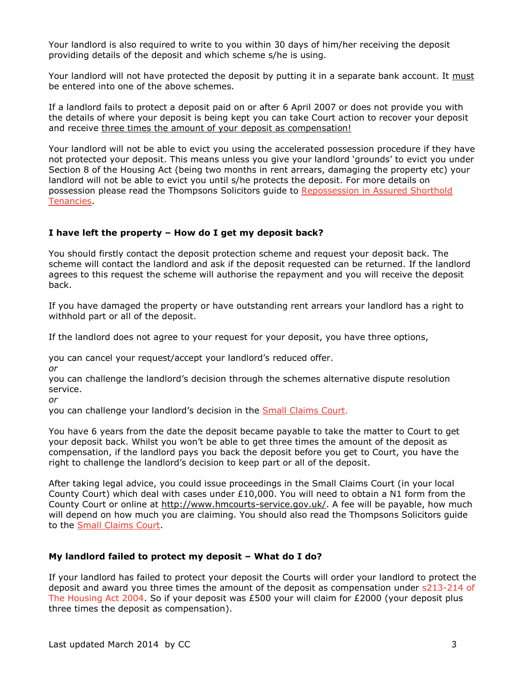Your landlord is also required to write to you within 30 days of him/her receiving the deposit providing details of the deposit and which scheme s/he is using.

Your landlord will not have protected the deposit by putting it in a separate bank account. It must be entered into one of the above schemes.

If a landlord fails to protect a deposit paid on or after 6 April 2007 or does not provide you with the details of where your deposit is being kept you can take Court action to recover your deposit and receive three times the amount of your deposit as compensation!

Your landlord will not be able to evict you using the accelerated possession procedure if they have not protected your deposit. This means unless you give your landlord 'grounds' to evict you under Section 8 of the Housing Act (being two months in rent arrears, damaging the property etc) your landlord will not be able to evict you until s/he protects the deposit. For more details on possession please read the Thompsons Solicitors guide to Repossession in Assured Shorthold Tenancies.

# **I have left the property – How do I get my deposit back?**

You should firstly contact the deposit protection scheme and request your deposit back. The scheme will contact the landlord and ask if the deposit requested can be returned. If the landlord agrees to this request the scheme will authorise the repayment and you will receive the deposit back.

If you have damaged the property or have outstanding rent arrears your landlord has a right to withhold part or all of the deposit.

If the landlord does not agree to your request for your deposit, you have three options,

you can cancel your request/accept your landlord's reduced offer.

*or*

you can challenge the landlord's decision through the schemes alternative dispute resolution service.

*or*

you can challenge your landlord's decision in the [Small Claims Court.](small%20claims%20fact%20sheet.doc)

You have 6 years from the date the deposit became payable to take the matter to Court to get your deposit back. Whilst you won't be able to get three times the amount of the deposit as compensation, if the landlord pays you back the deposit before you get to Court, you have the right to challenge the landlord's decision to keep part or all of the deposit.

After taking legal advice, you could issue proceedings in the Small Claims Court (in your local County Court) which deal with cases under £10,000. You will need to obtain a N1 form from the County Court or online at http://www.hmcourts-service.gov.uk/. A fee will be payable, how much will depend on how much you are claiming. You should also read the Thompsons Solicitors guide to the [Small Claims Court.](small%20claims%20fact%20sheet.doc)

# **My landlord failed to protect my deposit – What do I do?**

If your landlord has failed to protect your deposit the Courts will order your landlord to protect the deposit and award you three times the amount of the deposit as compensation under s213-214 of The Housing Act 2004. So if your deposit was £500 your will claim for £2000 (your deposit plus three times the deposit as compensation).